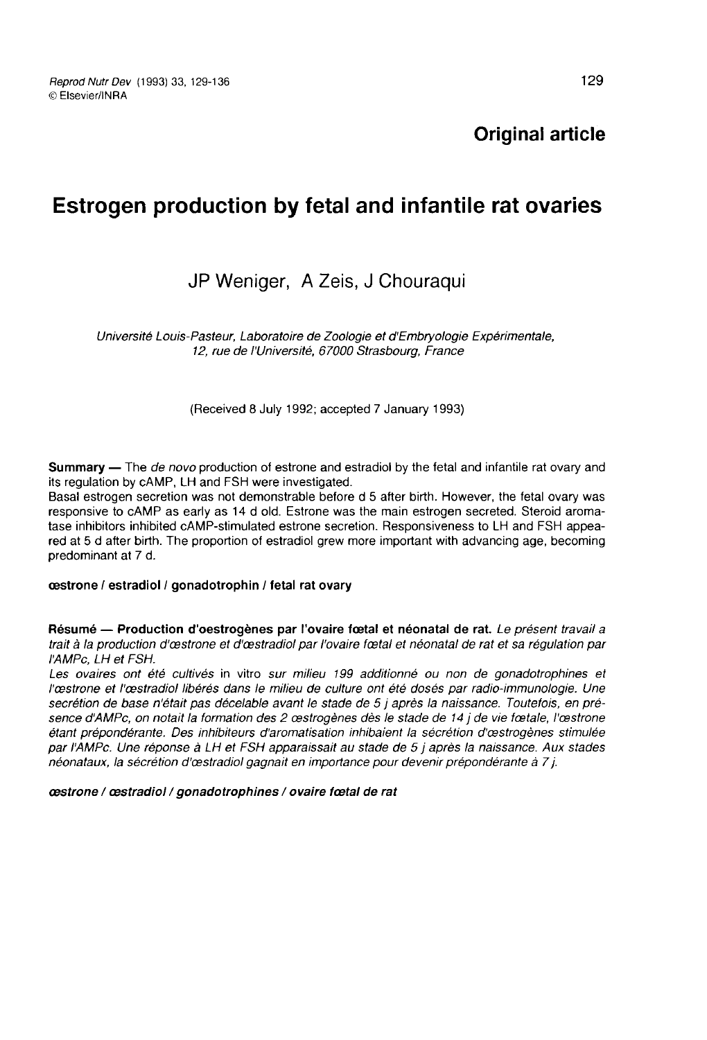Original article

## Estrogen production by fetal and infantile rat ovaries

### JP Weniger, A Zeis, J Chouraqui

Université Louis-Pasteur, Laboratoire de Zoologie et d'Embryologie Expérimentale, 12, rue de l'Université, 67000 Strasbourg, France

(Received 8 July 1992; accepted 7 January 1993)

**Summary** — The *de novo* production of estrone and estradiol by the fetal and infantile rat ovary and its regulation by cAMP, LH and FSH were investigated.

Basal estrogen secretion was not demonstrable before d 5 after birth. However, the fetal ovary was responsive to cAMP as early as 14 d old. Estrone was the main estrogen secreted. Steroid aromatase inhibitors inhibited cAMP-stimulated estrone secretion. Responsiveness to LH and FSH appeared at 5 d after birth. The proportion of estradiol grew more important with advancing age, becoming predominant at 7 d.

#### cestrone / estradiol / gonadotrophin / fetal rat ovary

Résumé - Production d'oestrogènes par l'ovaire fœtal et néonatal de rat. Le présent travail a trait à la production d'œstrone et d'œstradiol par l'ovaire fœtal et néonatal de rat et sa régulation par l'AMPc, LH et FSH.

Les ovaires ont été cultivés in vitro sur milieu 199 additionné ou non de gonadotrophines et l'cestrone et l'castradiol libérés dans le milieu de culture ont été dosés par radio-immunologie. Une secrétion de base n'était pas décelable avant le stade de 5 j après la naissance. Toutefois, en présence d'AMPc, on notait la formation des 2 œstrogènes dès le stade de 14 j de vie fœtale, l'œstrone étant prépondérante. Des inhibiteurs d'aromatisation inhibaient la sécrétion d'cestrogènes stimulée par I AMPc. Une réponse à LH et FSH apparaissait au stade de 5 j après la naissance. Aux stades néonataux, la sécrétion d'cestradiol gagnait en importance pour devenir prépondérante à 7 j.

cestrone / cestradiol / gonadotrophines / ovaire foetal de rat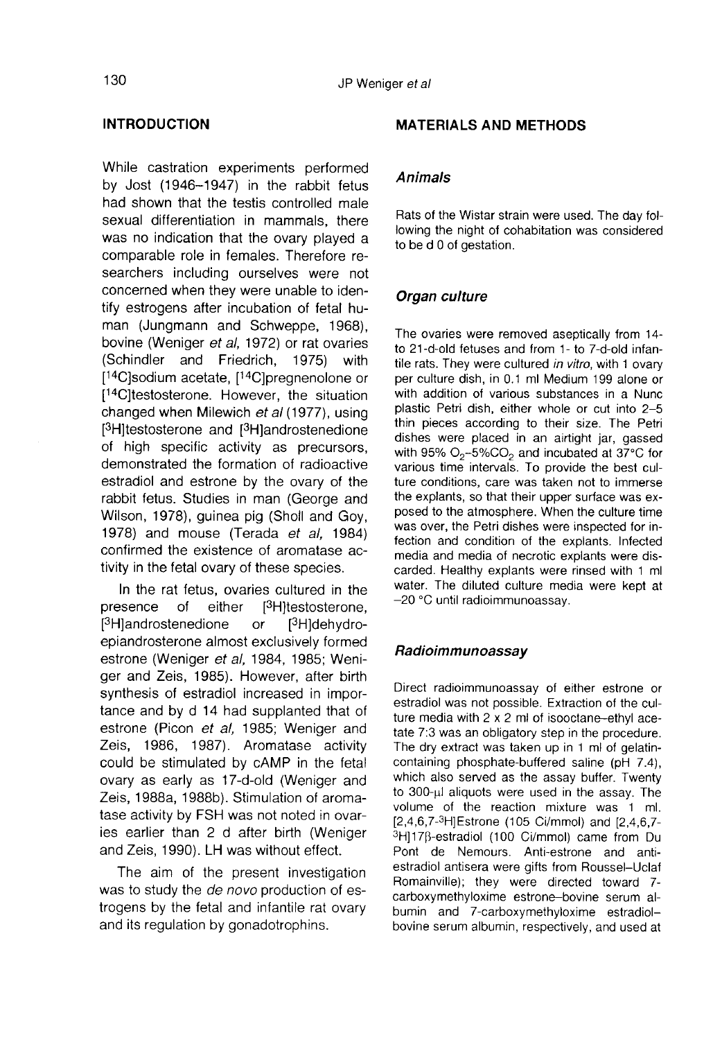#### INTRODUCTION

While castration experiments performed by Jost (1946-1947) in the rabbit fetus had shown that the testis controlled male sexual differentiation in mammals, there was no indication that the ovary played a comparable role in females. Therefore researchers including ourselves were not concerned when they were unable to identify estrogens after incubation of fetal human (Jungmann and Schweppe, 1968), bovine (Weniger et al, 1972) or rat ovaries concerned wnen they were unable to identify estrogens after incubation of fetal human (Jungmann and Schweppe, 1968), bovine (Weniger *et al.*, 1972) or rat ovaries (Schindler and Friedrich, 1975) with [<sup>14</sup>C]sodium acetate (Schindler and Friedrich, 1975) with comparation to be searchers included<br>concerned when the same after<br>tify estrogens after<br>hand (Jungmann bovine (Weniger<br>(Schindler and [<sup>14</sup>C]testosterone.<br>changed when Mi<br>[<sup>3</sup>H]testosterone after ation that the ovary played a<br>role in females. Therefore re-<br>cluding ourselves were not<br>hen they were unable to iden-<br>s after incubation of fetal hu-<br>nann and Schweppe, 1968),<br>iger *et al*, 1972) or rat ovaries<br>and Friedri changed when Milewich *et al* (1977), using tity estrogens a<br>man (Jungman<br>bovine (Weniger<br>(Schindler and<br>[<sup>14</sup>C]testosteron<br>changed when M<br>[<sup>3</sup>H]testosterone<br>of high specific<br>demonstrated th searchers including ourselves were not<br>concerned when they were unable to iden-<br>tify estrogens after incubation of fetal hu-<br>man (Jungmann and Schweppe, 1968),<br>bovine (Weniger *et al*, 1972) or rat ovaries<br>(Schindler and F of high specific activity as precursors, demonstrated the formation of radioactive estradiol and estrone by the ovary of the rabbit fetus. Studies in man (George and Wilson, 1978), guinea pig (Sholl and Goy, 1978) and mouse (Terada et al, 1984) confirmed the existence of aromatase activity in the fetal ovary of these species. demonstrated the restradiol and estron<br>rabbit fetus. Studies<br>Wilson, 1978), guine<br>1978) and mouse<br>confirmed the existe<br>tivity in the fetal ovar<br>In the rat fetus, c<br>presence of eith<br><sup>[3</sup>H]androsternone alm<br>estrone (Weniger d estrone by the ovary of the<br>Studies in man (George and<br>3), guinea pig (Sholl and Goy,<br>mouse (Terada *et al*, 1984)<br>e existence of aromatase ac-<br>tal ovary of these species.<br>fetus, ovaries cultured in the<br>of either [<sup>3</sup>H]

In the rat fetus, ovaries cultured in the presence of eith<br>[<sup>3</sup>H]androstenedione 1978) and mouse (Terada *et al.*, 1984)<br>confirmed the existence of aromatase ac-<br>tivity in the fetal ovary of these species.<br>In the rat fetus, ovaries cultured in the<br>presence of either [<sup>3</sup>H]testosterone,<br>[<sup>3</sup>H]androster epiandrosterone almost exclusively formed estrone (Weniger et al, 1984, 1985; Weniger and Zeis, 1985). However, after birth synthesis of estradiol increased in importance and by d 14 had supplanted that of estrone (Picon et al, 1985; Weniger and Zeis, 1986, 1987). Aromatase activity could be stimulated by cAMP in the fetal ovary as early as 17-d-old (Weniger and Zeis, 1988a, 1988b). Stimulation of aromatase activity by FSH was not noted in ovaries earlier than 2 d after birth (Weniger and Zeis, 1990). LH was without effect.

The aim of the present investigation was to study the *de novo* production of estrogens by the fetal and infantile rat ovary and its regulation by gonadotrophins.

#### MATERIALS AND METHODS

#### Animals

Rats of the Wistar strain were used. The day following the night of cohabitation was considered to be d 0 of gestation.

#### Organ culture

The ovaries were removed aseptically from 14 to 21-d-old fetuses and from 1- to 7-d-old infantile rats. They were cultured in vitro, with 1 ovary per culture dish, in 0.1 ml Medium 199 alone or with addition of various substances in a Nunc plastic Petri dish, either whole or cut into 2-5 thin pieces according to their size. The Petri dishes were placed in an airtight jar, gassed with 95%  $O_2$ -5%CO<sub>2</sub> and incubated at 37°C for various time intervals. To provide the best culture conditions, care was taken not to immerse the explants, so that their upper surface was exposed to the atmosphere. When the culture time was over, the Petri dishes were inspected for infection and condition of the explants. Infected media and media of necrotic explants were discarded. Healthy explants were rinsed with 1 ml water. The diluted culture media were kept at -20 °C until radioimmunoassay.

#### Radioimmunoassay

Direct radioimmunoassay of either estrone or estradiol was not possible. Extraction of the culture media with 2 x 2 ml of isooctane-ethyl acetate 7:3 was an obligatory step in the procedure. The dry extract was taken up in 1 ml of gelatincontaining phosphate-buffered saline (pH 7.4), which also served as the assay buffer. Twenty to 300-µl aliquots were used in the assay. The volume of the reaction mixture was 1 ml. tate 7:3 was an<br>The dry extract<br>containing phos<br>which also serv<br>to 300-μl aliquo<br>volume of the<br>[2,4,6,7-3H]5str<br>3H]17β-estradiol<br>Pont de Nem<br>estradiol antiser Driect Tationnininoassay of einter estrone or<br>estratediol was not possible. Extraction of the cul-<br>ture media with 2 x 2 ml of isocotane-ethyl ace-<br>tate 7:3 was an obligatory step in the procedure.<br>The dry extract was tak 3H]17B-estradiol (100 Ci/mmol) came from Du Pont de Nemours. Anti-estrone and antiestradiol antisera were gifts from Roussel-Uclaf Romainville); they were directed toward 7 carboxymethyloxime estrone-bovine serum albumin and 7-carboxymethyloxime estradiolbovine serum albumin, respectively, and used at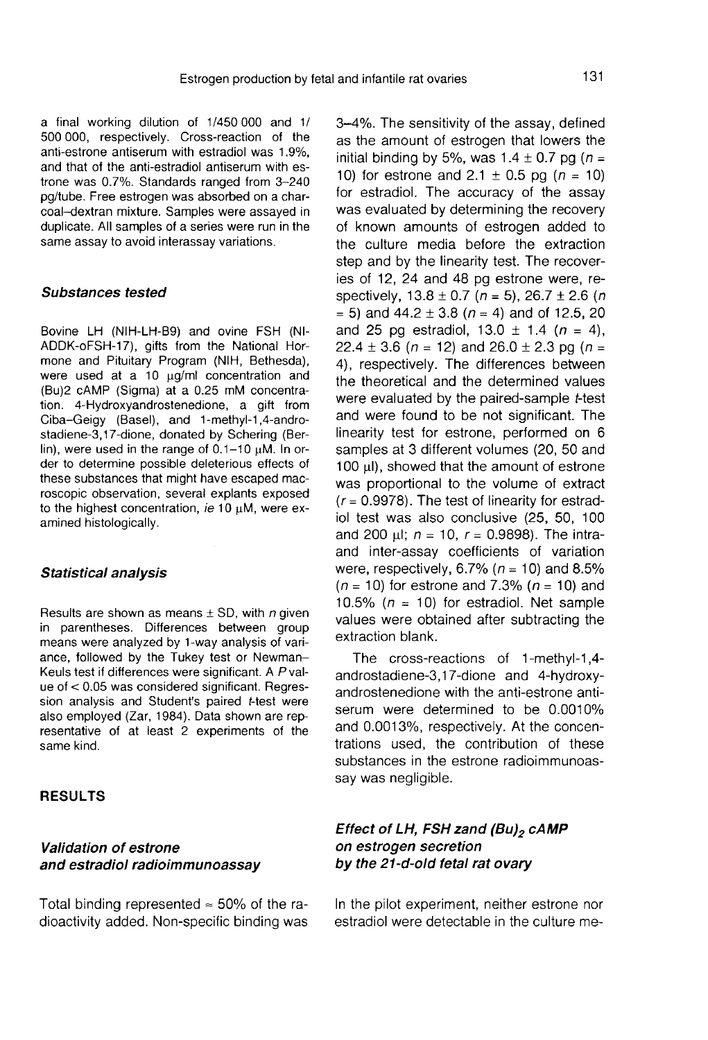a final working dilution of 1/450 000 and 1/ 500 000, respectively. Cross-reaction of the anti-estrone antiserum with estradiol was 1.9%, and that of the anti-estradiol antiserum with estrone was 0.7%. Standards ranged from 3-240 pg/tube. Free estrogen was absorbed on a charcoal-dextran mixture. Samples were assayed in duplicate. All samples of a series were run in the same assay to avoid interassay variations.

#### Substances tested

Bovine LH (NIH-LH-B9) and ovine FSH (Nl-ADDK-oFSH-17), gifts from the National Hormone and Pituitary Program (NIH, Bethesda), were used at a 10  $\mu$ g/ml concentration and (Bu)2 cAMP (Sigma) at a 0.25 mM concentration. 4-Hydroxyandrostenedione, a gift from Ciba-Geigy (Basel), and 1-methyl-1,4-androstadiene-3,17-dione, donated by Schering (Berlin), were used in the range of  $0.1-10 \mu M$ . In order to determine possible deleterious effects of these substances that might have escaped macroscopic observation, several explants exposed to the highest concentration, ie 10  $\mu$ M, were examined histologically.

#### Statistical analysis

Results are shown as means  $\pm$  SD, with *n* given in parentheses. Differences between group means were analyzed by 1-way analysis of variance, followed by the Tukey test or Newman-Keuls test if differences were significant. A P value of < 0.05 was considered significant. Regression analysis and Student's paired t-test were also employed (Zar, 1984). Data shown are representative of at least 2 experiments of the same kind.

#### RESULTS

#### Validation of estrone and estradiol radioimmunoassay

Total binding represented  $\approx$  50% of the radioactivity added. Non-specific binding was 3-4%. The sensitivity of the assay, defined as the amount of estrogen that lowers the initial binding by 5%, was  $1.4 \pm 0.7$  pg ( $n =$ 10) for estrone and 2.1  $\pm$  0.5 pg (n = 10) for estradiol. The accuracy of the assay was evaluated by determining the recovery of known amounts of estrogen added to the culture media before the extraction step and by the linearity test. The recoveries of 12, 24 and 48 pg estrone were, respectively,  $13.8 \pm 0.7$  (n = 5),  $26.7 \pm 2.6$  (n  $= 5$ ) and 44.2  $\pm$  3.8 ( $n = 4$ ) and of 12.5, 20 and 25 pg estradiol,  $13.0 \pm 1.4$  ( $n = 4$ ), 22.4  $\pm$  3.6 (n = 12) and 26.0  $\pm$  2.3 pg (n = 4), respectively. The differences between the theoretical and the determined values were evaluated by the paired-sample t-test and were found to be not significant. The linearity test for estrone, performed on 6 samples at 3 different volumes (20, 50 and 100  $\mu$ ), showed that the amount of estrone was proportional to the volume of extract  $(r = 0.9978)$ . The test of linearity for estradiol test was also conclusive (25, 50, 100 and 200  $\mu$ I;  $n = 10$ ,  $r = 0.9898$ ). The intraand inter-assay coefficients of variation were, respectively, 6.7% ( $n = 10$ ) and 8.5%  $(n = 10)$  for estrone and 7.3%  $(n = 10)$  and 10.5% ( $n = 10$ ) for estradiol. Net sample values were obtained after subtracting the extraction blank.

The cross-reactions of 1-methyl-1,4 androstadiene-3,17-dione and 4-hydroxyandrostenedione with the anti-estrone antiserum were determined to be 0.0010% and 0.0013%, respectively. At the concentrations used, the contribution of these substances in the estrone radioimmunoassay was negligible.

#### Effect of LH, FSH zand (Bu)<sub>2</sub> cAMP on estrogen secretion by the 21-d-old fetal rat ovary

In the pilot experiment, neither estrone nor estradiol were detectable in the culture me-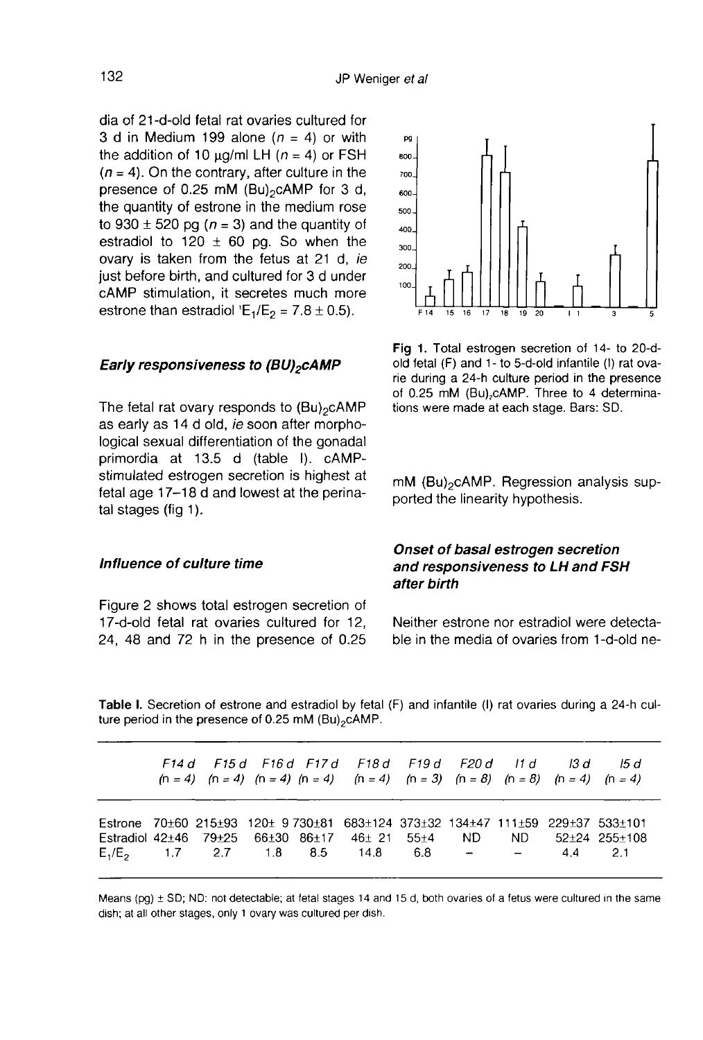**DO** 

dia of 21-d-old fetal rat ovaries cultured for 3 d in Medium 199 alone  $(n = 4)$  or with the addition of 10  $\mu$ g/ml LH (n = 4) or FSH  $(n = 4)$ . On the contrary, after culture in the presence of 0.25 mM (Bu)<sub>2</sub>cAMP for 3 d, dia of 21-d-old fetal rat ovaries cultured for<br>3 d in Medium 199 alone  $(n = 4)$  or with<br>the addition of 10  $\mu$ g/ml LH  $(n = 4)$  or FSH<br> $(n = 4)$ . On the contrary, after culture in the<br>presence of 0.25 mM (Bu)<sub>2</sub>cAMP for 3 d,<br> the quantity of estrone in the medium rose to 930  $\pm$  520 pg ( $n = 3$ ) and the quantity of estradiol to 120  $\pm$  60 pg. So when the ovary is taken from the fetus at 21 d, ie just before birth, and cultured for 3 d under cAMP stimulation, it secretes much more just before birth, and cultured for 3 d und<br>cAMP stimulation, it secretes much mo<br>estrone than estradiol 'E<sub>1</sub>/E<sub>2</sub> = 7.8 ± 0.5).<br>**Early responsiveness to (BU)<sub>2</sub>cAMP** 

# **Early responsiveness to (BU)<sub>2</sub>cAMP**<br>The fetal rat ovary responds to (Bu)<sub>2</sub>cAMP

as early as 14 d old, ie soon after morphological sexual differentiation of the gonadal primordia at 13.5 d (table I). cAMPstimulated estrogen secretion is highest at fetal age 17-18 d and lowest at the perinatal stages (fig 1).

#### Influence of culture time

Figure 2 shows total estrogen secretion of 17-d-old fetal rat ovaries cultured for 12, 24, 48 and 72 h in the presence of 0.25

Fig 1. Total estrogen secretion of 14- to 20-dold fetal (F) and 1- to 5-d-old infantile (I) rat ovarie during a 24-h culture period in the presence of 0.25 mM (Bu)<sub>2</sub>cAMP. Three to 4 determinations were made at each stage. Bars: SD.<br>
mM (Bu)<sub>2</sub>cAMP. Regression analysis sup-

ported the linearity hypothesis.

#### Onset of basal estrogen secretion and responsiveness to LH and FSH after birth

Neither estrone nor estradiol were detectable in the media of ovaries from 1-d-old ne-

Table I. Secretion of estrone and estradiol by fetal (F) and infantile (I) rat ovaries during a 24-h culture period in the presence of 0.25 mM  $(Bu)_{2}c$ AMP.

|  |  | F14d F15d F16d F17d F18d F19d F20d I1d I3d I5d<br>$(n = 4)$ $(n = 4)$ $(n = 4)$ $(n = 4)$ $(n = 4)$ $(n = 3)$ $(n = 8)$ $(n = 8)$ $(n = 4)$ $(n = 4)$                                                 |  |  |  |
|--|--|-------------------------------------------------------------------------------------------------------------------------------------------------------------------------------------------------------|--|--|--|
|  |  | Estrone 70±60 215±93 120± 9 730±81 683±124 373±32 134±47 111±59 229±37 533±101<br>Estradiol 42±46 79±25 66±30 86±17 46± 21 55±4 ND ND 52±24 255±108<br>$E_1/E_2$ 1.7 2.7 1.8 8.5 14.8 6.8 - - 4.4 2.1 |  |  |  |

Means (pg)  $\pm$  SD; ND: not detectable, at fetal stages 14 and 15 d, both ovaries of a fetus were cultured in the same dish; at all other stages, only 1 ovary was cultured per dish.

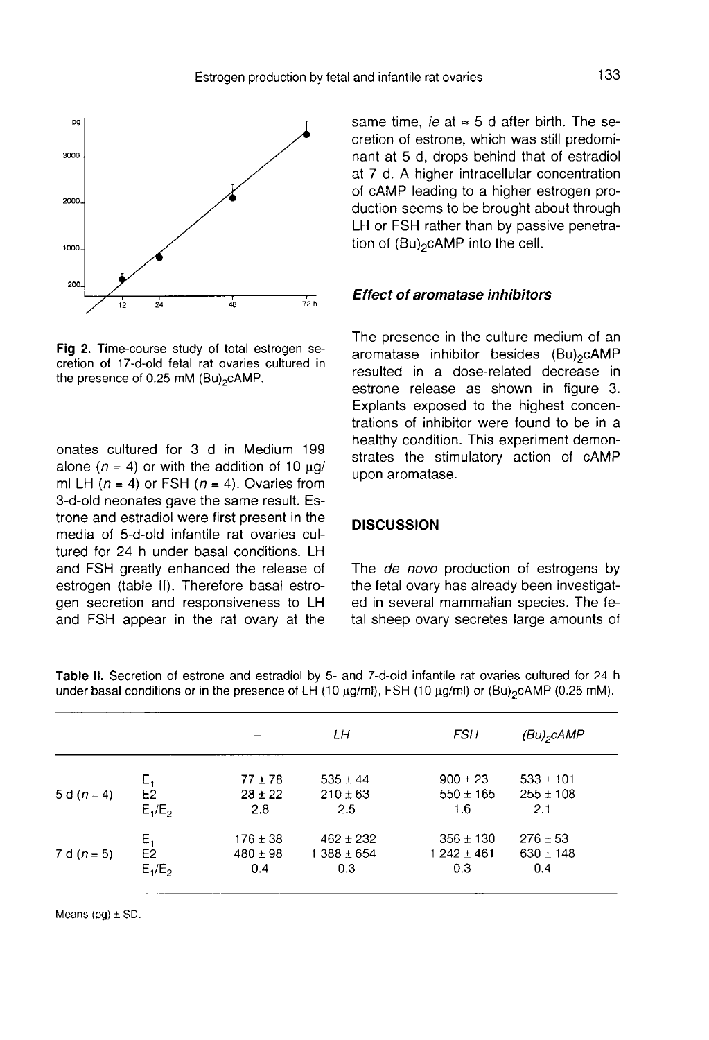

Fig 2. Time-course study of total estrogen secretion of 17-d-old fetal rat ovaries cultured in the presence of 0.25 mM (Bu)<sub>2</sub>cAMP.

onates cultured for 3 d in Medium 199 alone ( $n = 4$ ) or with the addition of 10  $\mu$ g/ ml LH  $(n = 4)$  or FSH  $(n = 4)$ . Ovaries from 3-d-old neonates gave the same result. Estrone and estradiol were first present in the media of 5-d-old infantile rat ovaries cultured for 24 h under basal conditions. LH and FSH greatly enhanced the release of estrogen (table II). Therefore basal estrogen secretion and responsiveness to LH and FSH appear in the rat ovary at the same time, ie at  $\approx$  5 d after birth. The secretion of estrone, which was still predominant at 5 d, drops behind that of estradiol at 7 d. A higher intracellular concentration of cAMP leading to a higher estrogen production seems to be brought about through LH or FSH rather than by passive penetra-<br>tion of  $(Bu)_{2}c$ AMP into the cell. at 7 d. A higher intracellular cof cAMP leading to a higher  $\epsilon$  duction seems to be brought a LH or FSH rather than by pass tion of  $(Bu)_2$ cAMP into the cell.

#### Effect of aromatase inhibitors

The presence in the culture medium of an **Effect of aromatase inhibitors**<br>The presence in the culture medium of an<br>aromatase inhibitor besides (Bu)<sub>2</sub>cAMP<br>resulted in a dose-related decrease in resulted in a dose-related decrease in estrone release as shown in figure 3. Explants exposed to the highest concentrations of inhibitor were found to be in a healthy condition. This experiment demonstrates the stimulatory action of cAMP upon aromatase.

#### **DISCUSSION**

The *de novo* production of estrogens by the fetal ovary has already been investigated in several mammalian species. The fetal sheep ovary secretes large amounts of

|               |                                   |                                     | LΗ                                     | <b>FSH</b>                             | $(Bu)_{2}$ CAMP                       |  |
|---------------|-----------------------------------|-------------------------------------|----------------------------------------|----------------------------------------|---------------------------------------|--|
| 5 d $(n = 4)$ | $\mathsf{E}_1$<br>E2<br>$E_1/E_2$ | $77 \pm 78$<br>$28 \pm 22$<br>2.8   | $535 \pm 44$<br>$210 \pm 63$<br>2.5    | $900 \pm 23$<br>$550 \pm 165$<br>1.6   | $533 \pm 101$<br>$255 \pm 108$<br>2.1 |  |
| 7 d $(n = 5)$ | $E_1$<br>E2<br>$E_1/E_2$          | $176 \pm 38$<br>$480 \pm 98$<br>0.4 | $462 \pm 232$<br>$1388 \pm 654$<br>0.3 | $356 \pm 130$<br>$1242 \pm 461$<br>0.3 | $276 \pm 53$<br>$630 \pm 148$<br>0.4  |  |

Table II. Secretion of estrone and estradiol by 5- and 7-d-old infantile rat ovaries cultured for 24 h under basal conditions or in the presence of LH (10  $\mu$ g/ml), FSH (10  $\mu$ g/ml) or (Bu)<sub>2</sub>cAMP (0.25 mM).

Means  $(pg) \pm SD$ .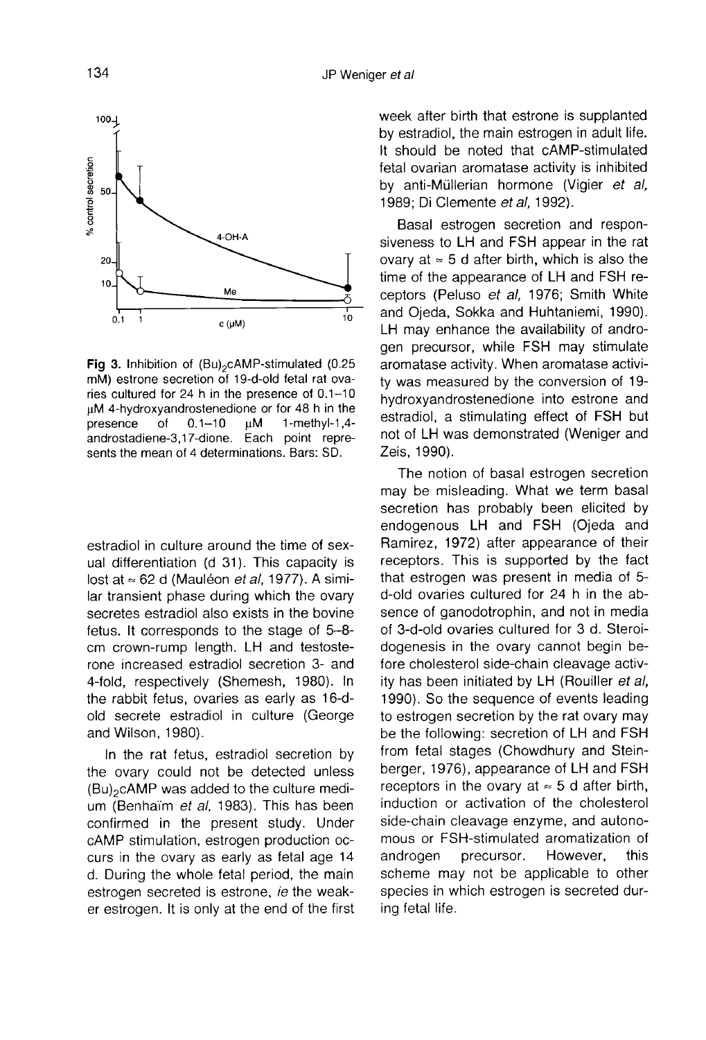

Fig 3. Inhibition of  $(Bu)_{2}$ cAMP-stimulated (0.25 mM) estrone secretion of 19-d-old fetal rat ovaries cultured for 24 h in the presence of 0.1-10 µM 4-hydroxyandrostenedione or for 48 h in the  $0.1 - 10$ μM  $1$ -methyl-1,4presence of androstadiene-3,17-dione. Each point represents the mean of 4 determinations. Bars: SD.

estradiol in culture around the time of sexual differentiation (d 31). This capacity is<br>lost at  $\approx$  62 d (Mauléon *et al.*, 1977). A similar transient phase during which the ovary secretes estradiol also exists in the bovine fetus. It corresponds to the stage of 5-8 cm crown-rump length. LH and testosterone increased estradiol secretion 3- and 4-fold, respectively (Shemesh, 1980). In the rabbit fetus, ovaries as early as 16-dold secrete estradiol in culture (George and Wilson, 1980).

In the rat fetus, estradiol secretion by the ovary could not be detected unless old secrete estradiol in culture (George<br>and Wilson, 1980).<br>In the rat fetus, estradiol secretion by<br>the ovary could not be detected unless<br>(Bu)<sub>2</sub>cAMP was added to the culture medi-<br>um (Benhaïm *et al*, 1983). This has be um (Benhaïm et al, 1983). This has been confirmed in the present study. Under cAMP stimulation, estrogen production occurs in the ovary as early as fetal age 14 d. During the whole fetal period, the main estrogen secreted is estrone, ie the weaker estrogen. It is only at the end of the first week after birth that estrone is supplanted by estradiol, the main estrogen in adult life. It should be noted that cAMP-stimulated fetal ovarian aromatase activity is inhibited by anti-Müllerian hormone (Vigier et al, 1989; Di Clemente et al, 1992).

Basal estrogen secretion and responsiveness to LH and FSH appear in the rat ovary at  $\approx$  5 d after birth, which is also the time of the appearance of LH and FSH receptors (Peluso et al, 1976; Smith White and Ojeda, Sokka and Huhtaniemi, 1990). LH may enhance the availability of androgen precursor, while FSH may stimulate aromatase activity. When aromatase activity was measured by the conversion of 19 hydroxyandrostenedione into estrone and estradiol, a stimulating effect of FSH but not of LH was demonstrated (Weniger and Zeis, 1990).

The notion of basal estrogen secretion may be misleading. What we term basal secretion has probably been elicited by endogenous LH and FSH (Ojeda and Ramirez, 1972) after appearance of their receptors. This is supported by the fact that estrogen was present in media of 5 d-old ovaries cultured for 24 h in the absence of ganodotrophin, and not in media of 3-d-old ovaries cultured for 3 d. Steroidogenesis in the ovary cannot begin before cholesterol side-chain cleavage activity has been initiated by LH (Rouiller et al, 1990). So the sequence of events leading to estrogen secretion by the rat ovary may be the following: secretion of LH and FSH from fetal stages (Chowdhury and Steinberger, 1976), appearance of LH and FSH receptors in the ovary at  $\approx$  5 d after birth, induction or activation of the cholesterol side-chain cleavage enzyme, and autonomous or FSH-stimulated aromatization of androgen precursor. However, this scheme may not be applicable to other species in which estrogen is secreted during fetal life.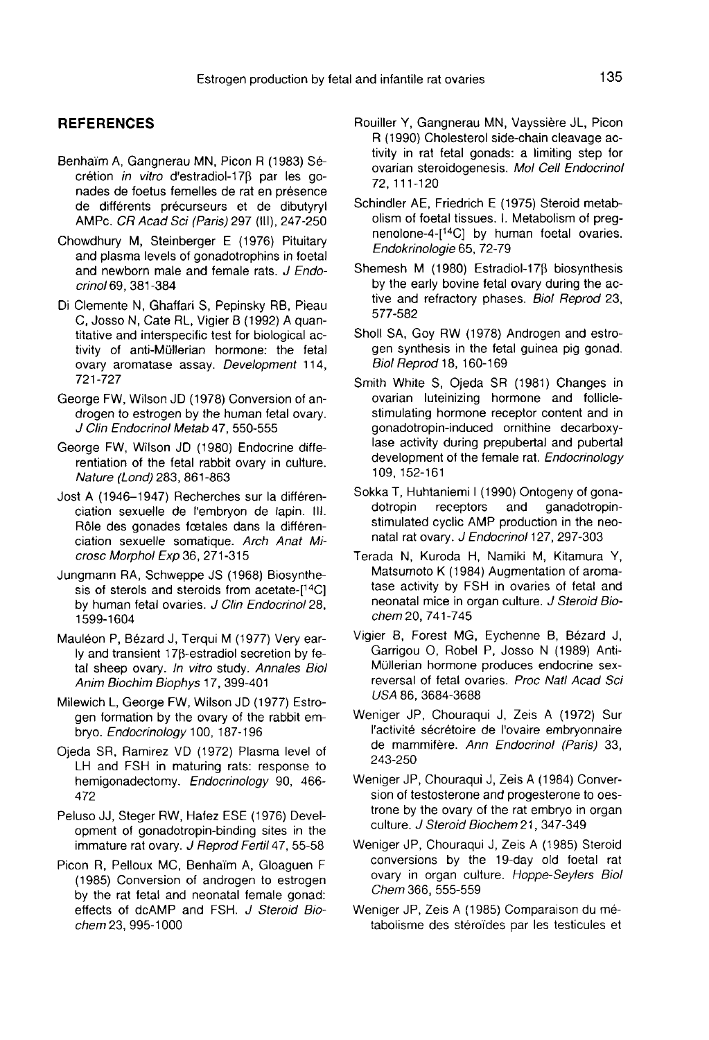#### **REFERENCES**

- Benhaim A, Gangnerau MN, Picon R (1983) Secrétion in vitro d'estradiol-178 par les gonades de foetus femelles de rat en présence<br>de différents précurseurs et de dibutyryl o haim A, Gangnerau MN, Picon R (1983) Sécrétion *in vitro* d'estradiol-17β par les gonades de foetus femelles de rat en présence<br>de différents précurseurs et de dibutyryl<br>AMP C. CR Acad Sci (Paris) 297 (III), 247-250
- Chowdhury M, Steinberger E (1976) Pituitary and plasma levels of gonadotrophins in foetal and newborn male and female rats. J Endocrinol 69, 381-384
- Di Clemente N, Ghaffari S, Pepinsky RB, Pieau C, Josso N, Cate RL, Vigier B (1992) A quantitative and interspecific test for biological activity of anti-Mullerian hormone: the fetal ovary aromatase assay. Development 114, 721-727
- George FW, Wilson JD (1978) Conversion of androgen to estrogen by the human fetal ovary. J Clin Endocrinol Metab 47, 550-555
- George FW, Wilson JD (1980) Endocrine differentiation of the fetal rabbit ovary in culture. Nature (Lond) 283, 861-863
- Jost A (1946-1947) Recherches sur la différenciation sexuelle de I'embryon de lapin. III. Rôle des gonades fœtales dans la différenciation sexuelle somatique. Arch Anat Microsc Morphol Exp 36, 271-315
- Jungmann RA, Schweppe JS (1968) Biosynthesis of sterols and steroids from acetate-[14C] by human fetal ovaries. J Clin Endocrinol 28, 1599-1604
- Mauléon P, Bézard J, Terqui M (1977) Very early and transient  $17\beta$ -estradiol secretion by fetal sheep ovary. In vitro study. Annales Biol Anim Biochim Biophys 17, 399-401
- Milewich L, George FW, Wilson JD (1977) Estrogen formation by the ovary of the rabbit embryo. Endocrinology 100, 187-196
- Ojeda SR, Ramirez VD (1972) Plasma level of LH and FSH in maturing rats: response to hemigonadectomy. Endocrinology 90, 466- 472
- Peluso JJ, Steger RW, Hafez ESE (1976) Development of gonadotropin-binding sites in the immature rat ovary. J Reprod Fertil 47, 55-58
- Picon R, Pelloux MC, Benhaim A, Gloaguen F (1985) Conversion of androgen to estrogen by the rat fetal and neonatal female gonad: effects of dcAMP and FSH. J Steroid Biochem 23, 995-1000
- Rouiller Y, Gangnerau MN, Vayssiere JL, Picon R (1990) Cholesterol side-chain cleavage activity in rat fetal gonads: a limiting step for ovarian steroidogenesis. Mol Cell Endocrinol 72, 111-120
- Schindler AE, Friedrich E (1975) Steroid metabolism of foetal tissues. I. Metabolism of preg-<br>nenolone-4-[<sup>14</sup>C] by human foetal ovaries. 72, 111-120<br>nindler AE, Friedrich E (1975) Steroid metab-<br>olism of foetal tissues. I. Metabolism of preg-<br>nenolone-4-[<sup>14</sup>C] by human foetal ovaries.<br>*Endokrinologie* 65, 72-79 Endokrinologie 65, 72-79
- Shemesh M (1980) Estradiol-178 biosynthesis by the early bovine fetal ovary during the active and refractory phases. Biol Reprod 23, 577-582
- Sholl SA, Goy RW (1978) Androgen and estrogen synthesis in the fetal guinea pig gonad. Biol Reprod 18, 160-169
- Smith White S, Ojeda SR (1981) Changes in ovarian luteinizing hormone and folliclestimulating hormone receptor content and in gonadotropin-induced ornithine decarboxylase activity during prepubertal and pubertal development of the female rat. Endocrinology 109, 152-161
- Sokka T, Huhtaniemi I (1990) Ontogeny of gona-<br>dotropin receptors and ganadotropindotropin receptors and ganadotropin-stimulated cyclic AMP production in the neonatal rat ovary. J Endocrinol 127, 297-303
- Terada N, Kuroda H, Namiki M, Kitamura Y, Matsumoto K (1984) Augmentation of aromatase activity by FSH in ovaries of fetal and neonatal mice in organ culture. J Steroid Biochem 20, 741-745
- Vigier B, Forest MG, Eychenne B, B6zard J, Garrigou 0, Robel P, Josso N (1989) Anti-Müllerian hormone produces endocrine sexreversal of fetal ovaries. Proc Natl Acad Sci USA 86, 3684-3688
- Weniger JP, Chouraqui J, Zeis A (1972) Sur l'activité sécrétoire de l'ovaire embryonnaire de mammifère. Ann Endocrinol (Paris) 33, 243-250
- Weniger JP, Chouraqui J, Zeis A (1984) Conversion of testosterone and progesterone to oestrone by the ovary of the rat embryo in organ culture. J Steroid Biochem 21, 347-349
- Weniger JP, Chouraqui J, Zeis A (1985) Steroid conversions by the 19-day old foetal rat ovary in organ culture. Hoppe-Seylers Biol Chem 366, 555-559
- Weniger JP, Zeis A (1985) Comparaison du metabolisme des steroides par les testicules et